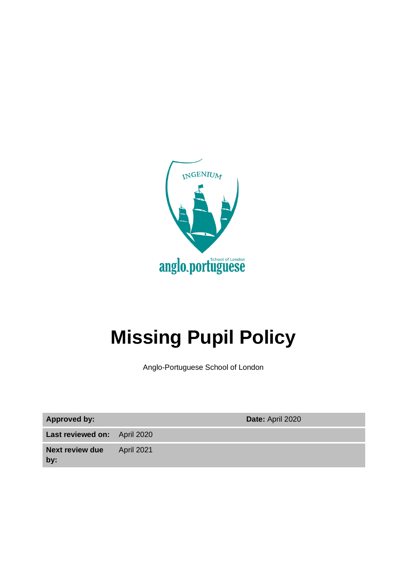

# <span id="page-0-0"></span>**Missing Pupil Policy**

Anglo-Portuguese School of London

**Approved by: Date:** April 2020

**Last reviewed on:** April 2020

**Next review due**  April 2021

**by:**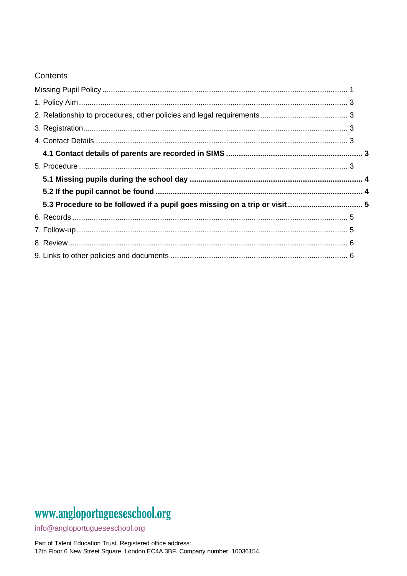#### Contents

# www.angloportugueseschool.org

info@angloportugueseschool.org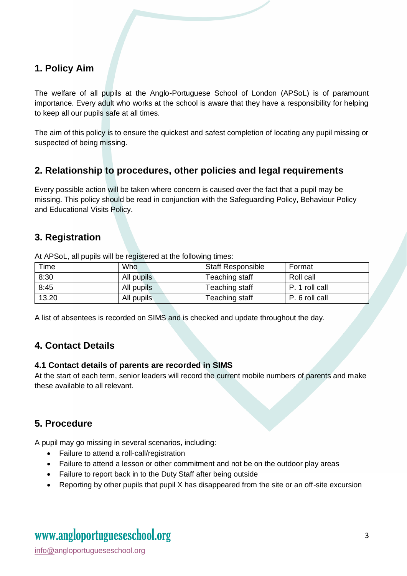#### <span id="page-2-0"></span>**1. Policy Aim**

The welfare of all pupils at the Anglo-Portuguese School of London (APSoL) is of paramount importance. Every adult who works at the school is aware that they have a responsibility for helping to keep all our pupils safe at all times.

The aim of this policy is to ensure the quickest and safest completion of locating any pupil missing or suspected of being missing.

#### <span id="page-2-1"></span>**2. Relationship to procedures, other policies and legal requirements**

Every possible action will be taken where concern is caused over the fact that a pupil may be missing. This policy should be read in conjunction with the Safeguarding Policy, Behaviour Policy and Educational Visits Policy.

#### <span id="page-2-2"></span>**3. Registration**

At APSoL, all pupils will be registered at the following times:

| Time  | <b>Who</b> | <b>Staff Responsible</b> | Format         |
|-------|------------|--------------------------|----------------|
| 8:30  | All pupils | Teaching staff           | Roll call      |
| 8:45  | All pupils | Teaching staff           | P. 1 roll call |
| 13.20 | All pupils | Teaching staff           | P. 6 roll call |

<span id="page-2-3"></span>A list of absentees is recorded on SIMS and is checked and update throughout the day.

#### **4. Contact Details**

#### <span id="page-2-4"></span>**4.1 Contact details of parents are recorded in SIMS**

At the start of each term, senior leaders will record the current mobile numbers of parents and make these available to all relevant.

#### <span id="page-2-5"></span>**5. Procedure**

A pupil may go missing in several scenarios, including:

- Failure to attend a roll-call/registration
- Failure to attend a lesson or other commitment and not be on the outdoor play areas
- Failure to report back in to the Duty Staff after being outside
- Reporting by other pupils that pupil X has disappeared from the site or an off-site excursion

## www.angloportugueseschool.org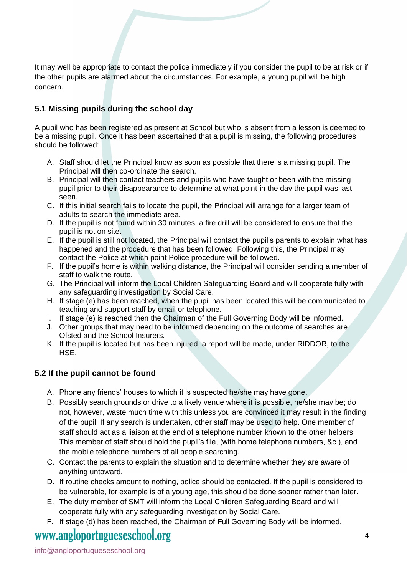It may well be appropriate to contact the police immediately if you consider the pupil to be at risk or if the other pupils are alarmed about the circumstances. For example, a young pupil will be high concern.

#### <span id="page-3-0"></span>**5.1 Missing pupils during the school day**

A pupil who has been registered as present at School but who is absent from a lesson is deemed to be a missing pupil. Once it has been ascertained that a pupil is missing, the following procedures should be followed:

- A. Staff should let the Principal know as soon as possible that there is a missing pupil. The Principal will then co-ordinate the search.
- B. Principal will then contact teachers and pupils who have taught or been with the missing pupil prior to their disappearance to determine at what point in the day the pupil was last seen.
- C. If this initial search fails to locate the pupil, the Principal will arrange for a larger team of adults to search the immediate area.
- D. If the pupil is not found within 30 minutes, a fire drill will be considered to ensure that the pupil is not on site.
- E. If the pupil is still not located, the Principal will contact the pupil's parents to explain what has happened and the procedure that has been followed. Following this, the Principal may contact the Police at which point Police procedure will be followed.
- F. If the pupil's home is within walking distance, the Principal will consider sending a member of staff to walk the route.
- G. The Principal will inform the Local Children Safeguarding Board and will cooperate fully with any safeguarding investigation by Social Care.
- H. If stage (e) has been reached, when the pupil has been located this will be communicated to teaching and support staff by email or telephone.
- I. If stage (e) is reached then the Chairman of the Full Governing Body will be informed.
- J. Other groups that may need to be informed depending on the outcome of searches are Ofsted and the School Insurers.
- K. If the pupil is located but has been injured, a report will be made, under RIDDOR, to the HSE.

#### <span id="page-3-1"></span>**5.2 If the pupil cannot be found**

- A. Phone any friends' houses to which it is suspected he/she may have gone.
- B. Possibly search grounds or drive to a likely venue where it is possible, he/she may be; do not, however, waste much time with this unless you are convinced it may result in the finding of the pupil. If any search is undertaken, other staff may be used to help. One member of staff should act as a liaison at the end of a telephone number known to the other helpers. This member of staff should hold the pupil's file, (with home telephone numbers, &c.), and the mobile telephone numbers of all people searching.
- C. Contact the parents to explain the situation and to determine whether they are aware of anything untoward.
- D. If routine checks amount to nothing, police should be contacted. If the pupil is considered to be vulnerable, for example is of a young age, this should be done sooner rather than later.
- E. The duty member of SMT will inform the Local Children Safeguarding Board and will cooperate fully with any safeguarding investigation by Social Care.
- F. If stage (d) has been reached, the Chairman of Full Governing Body will be informed.

### www.angloportugueseschool.org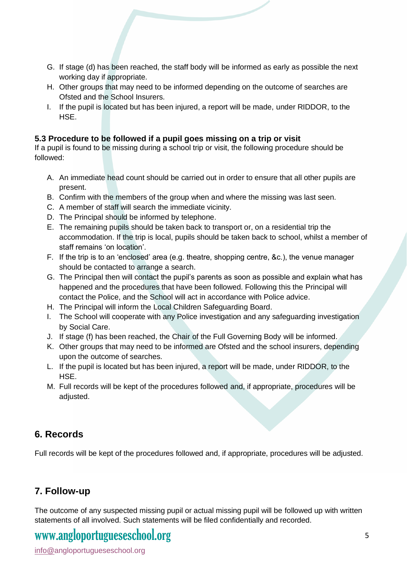- G. If stage (d) has been reached, the staff body will be informed as early as possible the next working day if appropriate.
- H. Other groups that may need to be informed depending on the outcome of searches are Ofsted and the School Insurers.
- I. If the pupil is located but has been injured, a report will be made, under RIDDOR, to the HSE.

#### <span id="page-4-0"></span>**5.3 Procedure to be followed if a pupil goes missing on a trip or visit**

If a pupil is found to be missing during a school trip or visit, the following procedure should be followed:

- A. An immediate head count should be carried out in order to ensure that all other pupils are present.
- B. Confirm with the members of the group when and where the missing was last seen.
- C. A member of staff will search the immediate vicinity.
- D. The Principal should be informed by telephone.
- E. The remaining pupils should be taken back to transport or, on a residential trip the accommodation. If the trip is local, pupils should be taken back to school, whilst a member of staff remains 'on location'.
- F. If the trip is to an 'enclosed' area (e.g. theatre, shopping centre, &c.), the venue manager should be contacted to arrange a search.
- G. The Principal then will contact the pupil's parents as soon as possible and explain what has happened and the procedures that have been followed. Following this the Principal will contact the Police, and the School will act in accordance with Police advice.
- H. The Principal will inform the Local Children Safeguarding Board.
- I. The School will cooperate with any Police investigation and any safeguarding investigation by Social Care.
- J. If stage (f) has been reached, the Chair of the Full Governing Body will be informed.
- K. Other groups that may need to be informed are Ofsted and the school insurers, depending upon the outcome of searches.
- L. If the pupil is located but has been injured, a report will be made, under RIDDOR, to the HSE.
- M. Full records will be kept of the procedures followed and, if appropriate, procedures will be adjusted.

#### <span id="page-4-1"></span>**6. Records**

Full records will be kept of the procedures followed and, if appropriate, procedures will be adjusted.

#### <span id="page-4-2"></span>**7. Follow-up**

The outcome of any suspected missing pupil or actual missing pupil will be followed up with written statements of all involved. Such statements will be filed confidentially and recorded.

### www.angloportugueseschool.org

info@angloportugueseschool.org